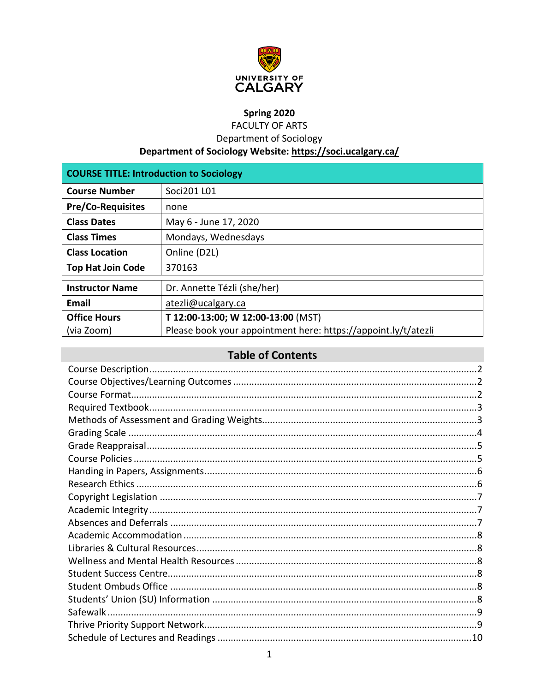

# Spring 2020

**FACULTY OF ARTS** 

Department of Sociology

Department of Sociology Website: https://soci.ucalgary.ca/

| <b>COURSE TITLE: Introduction to Sociology</b> |                                                                |  |
|------------------------------------------------|----------------------------------------------------------------|--|
| <b>Course Number</b>                           | Soci201 L01                                                    |  |
| <b>Pre/Co-Requisites</b>                       | none                                                           |  |
| <b>Class Dates</b>                             | May 6 - June 17, 2020                                          |  |
| <b>Class Times</b>                             | Mondays, Wednesdays                                            |  |
| <b>Class Location</b>                          | Online (D2L)                                                   |  |
| <b>Top Hat Join Code</b>                       | 370163                                                         |  |
| <b>Instructor Name</b>                         | Dr. Annette Tézli (she/her)                                    |  |
| Email                                          | atezli@ucalgary.ca                                             |  |
| <b>Office Hours</b>                            | T 12:00-13:00; W 12:00-13:00 (MST)                             |  |
| (via Zoom)                                     | Please book your appointment here: https://appoint.ly/t/atezli |  |

# **Table of Contents**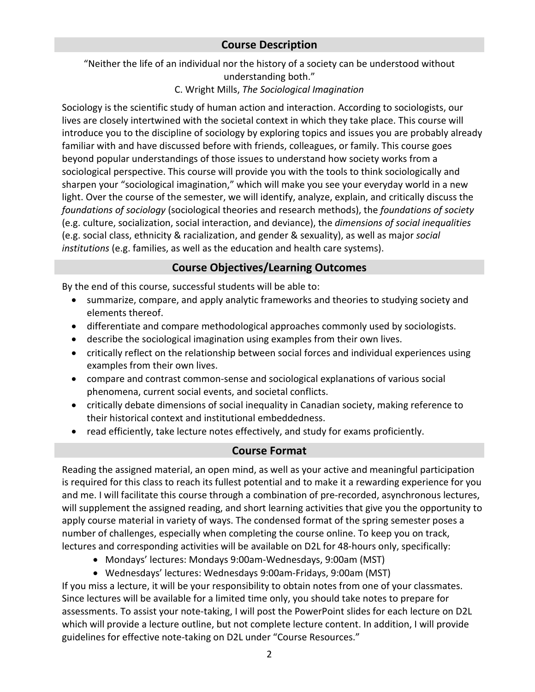## <span id="page-1-0"></span>**Course Description**

"Neither the life of an individual nor the history of a society can be understood without understanding both."

#### C. Wright Mills, *The Sociological Imagination*

Sociology is the scientific study of human action and interaction. According to sociologists, our lives are closely intertwined with the societal context in which they take place. This course will introduce you to the discipline of sociology by exploring topics and issues you are probably already familiar with and have discussed before with friends, colleagues, or family. This course goes beyond popular understandings of those issues to understand how society works from a sociological perspective. This course will provide you with the tools to think sociologically and sharpen your "sociological imagination," which will make you see your everyday world in a new light. Over the course of the semester, we will identify, analyze, explain, and critically discuss the *foundations of sociology* (sociological theories and research methods), the *foundations of society* (e.g. culture, socialization, social interaction, and deviance), the *dimensions of social inequalities* (e.g. social class, ethnicity & racialization, and gender & sexuality), as well as major *social institutions* (e.g. families, as well as the education and health care systems).

## **Course Objectives/Learning Outcomes**

<span id="page-1-1"></span>By the end of this course, successful students will be able to:

- summarize, compare, and apply analytic frameworks and theories to studying society and elements thereof.
- differentiate and compare methodological approaches commonly used by sociologists.
- describe the sociological imagination using examples from their own lives.
- critically reflect on the relationship between social forces and individual experiences using examples from their own lives.
- compare and contrast common-sense and sociological explanations of various social phenomena, current social events, and societal conflicts.
- critically debate dimensions of social inequality in Canadian society, making reference to their historical context and institutional embeddedness.
- read efficiently, take lecture notes effectively, and study for exams proficiently.

## **Course Format**

<span id="page-1-2"></span>Reading the assigned material, an open mind, as well as your active and meaningful participation is required for this class to reach its fullest potential and to make it a rewarding experience for you and me. I will facilitate this course through a combination of pre-recorded, asynchronous lectures, will supplement the assigned reading, and short learning activities that give you the opportunity to apply course material in variety of ways. The condensed format of the spring semester poses a number of challenges, especially when completing the course online. To keep you on track, lectures and corresponding activities will be available on D2L for 48-hours only, specifically:

- Mondays' lectures: Mondays 9:00am-Wednesdays, 9:00am (MST)
- Wednesdays' lectures: Wednesdays 9:00am-Fridays, 9:00am (MST)

If you miss a lecture, it will be your responsibility to obtain notes from one of your classmates. Since lectures will be available for a limited time only, you should take notes to prepare for assessments. To assist your note-taking, I will post the PowerPoint slides for each lecture on D2L which will provide a lecture outline, but not complete lecture content. In addition, I will provide guidelines for effective note-taking on D2L under "Course Resources."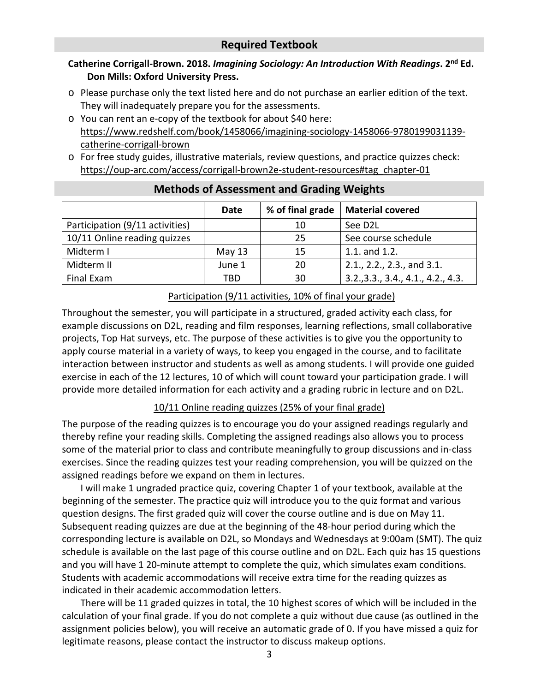## **Required Textbook**

## <span id="page-2-0"></span>**Catherine Corrigall-Brown. 2018.** *Imagining Sociology: An Introduction With Readings***. 2nd Ed. Don Mills: Oxford University Press.**

- o Please purchase only the text listed here and do not purchase an earlier edition of the text. They will inadequately prepare you for the assessments.
- o You can rent an e-copy of the textbook for about \$40 here: [https://www.redshelf.com/book/1458066/imagining-sociology-1458066-9780199031139](https://www.redshelf.com/book/1458066/imagining-sociology-1458066-9780199031139-catherine-corrigall-brown) [catherine-corrigall-brown](https://www.redshelf.com/book/1458066/imagining-sociology-1458066-9780199031139-catherine-corrigall-brown)
- o For free study guides, illustrative materials, review questions, and practice quizzes check: [https://oup-arc.com/access/corrigall-brown2e-student-resources#tag\\_chapter-01](https://oup-arc.com/access/corrigall-brown2e-student-resources#tag_chapter-01)

<span id="page-2-1"></span>

|                                 | Date     | % of final grade | <b>Material covered</b>       |
|---------------------------------|----------|------------------|-------------------------------|
| Participation (9/11 activities) |          | 10               | See D2L                       |
| 10/11 Online reading quizzes    |          | 25               | See course schedule           |
| Midterm I                       | May $13$ | 15               | 1.1. and 1.2.                 |
| Midterm II                      | June 1   | 20               | 2.1., 2.2., 2.3., and 3.1.    |
| Final Exam                      | TBD      | 30               | 3.2.,3.3.,3.4.,4.1.,4.2.,4.3. |

## **Methods of Assessment and Grading Weights**

#### Participation (9/11 activities, 10% of final your grade)

Throughout the semester, you will participate in a structured, graded activity each class, for example discussions on D2L, reading and film responses, learning reflections, small collaborative projects, Top Hat surveys, etc. The purpose of these activities is to give you the opportunity to apply course material in a variety of ways, to keep you engaged in the course, and to facilitate interaction between instructor and students as well as among students. I will provide one guided exercise in each of the 12 lectures, 10 of which will count toward your participation grade. I will provide more detailed information for each activity and a grading rubric in lecture and on D2L.

#### 10/11 Online reading quizzes (25% of your final grade)

The purpose of the reading quizzes is to encourage you do your assigned readings regularly and thereby refine your reading skills. Completing the assigned readings also allows you to process some of the material prior to class and contribute meaningfully to group discussions and in-class exercises. Since the reading quizzes test your reading comprehension, you will be quizzed on the assigned readings before we expand on them in lectures.

I will make 1 ungraded practice quiz, covering Chapter 1 of your textbook, available at the beginning of the semester. The practice quiz will introduce you to the quiz format and various question designs. The first graded quiz will cover the course outline and is due on May 11. Subsequent reading quizzes are due at the beginning of the 48-hour period during which the corresponding lecture is available on D2L, so Mondays and Wednesdays at 9:00am (SMT). The quiz schedule is available on the last page of this course outline and on D2L. Each quiz has 15 questions and you will have 1 20-minute attempt to complete the quiz, which simulates exam conditions. Students with academic accommodations will receive extra time for the reading quizzes as indicated in their academic accommodation letters.

There will be 11 graded quizzes in total, the 10 highest scores of which will be included in the calculation of your final grade. If you do not complete a quiz without due cause (as outlined in the assignment policies below), you will receive an automatic grade of 0. If you have missed a quiz for legitimate reasons, please contact the instructor to discuss makeup options.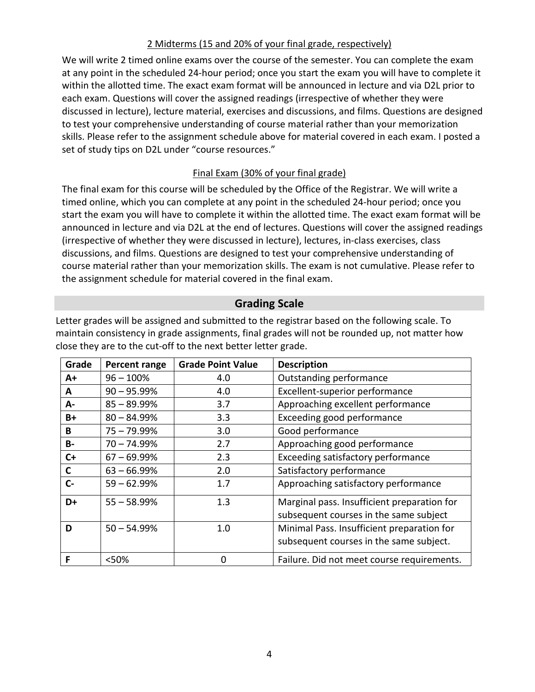#### 2 Midterms (15 and 20% of your final grade, respectively)

We will write 2 timed online exams over the course of the semester. You can complete the exam at any point in the scheduled 24-hour period; once you start the exam you will have to complete it within the allotted time. The exact exam format will be announced in lecture and via D2L prior to each exam. Questions will cover the assigned readings (irrespective of whether they were discussed in lecture), lecture material, exercises and discussions, and films. Questions are designed to test your comprehensive understanding of course material rather than your memorization skills. Please refer to the assignment schedule above for material covered in each exam. I posted a set of study tips on D2L under "course resources."

## Final Exam (30% of your final grade)

The final exam for this course will be scheduled by the Office of the Registrar. We will write a timed online, which you can complete at any point in the scheduled 24-hour period; once you start the exam you will have to complete it within the allotted time. The exact exam format will be announced in lecture and via D2L at the end of lectures. Questions will cover the assigned readings (irrespective of whether they were discussed in lecture), lectures, in-class exercises, class discussions, and films. Questions are designed to test your comprehensive understanding of course material rather than your memorization skills. The exam is not cumulative. Please refer to the assignment schedule for material covered in the final exam.

## **Grading Scale**

<span id="page-3-0"></span>Letter grades will be assigned and submitted to the registrar based on the following scale. To maintain consistency in grade assignments, final grades will not be rounded up, not matter how close they are to the cut-off to the next better letter grade.

| Grade     | Percent range | <b>Grade Point Value</b> | <b>Description</b>                                                                    |
|-----------|---------------|--------------------------|---------------------------------------------------------------------------------------|
| A+        | $96 - 100%$   | 4.0                      | Outstanding performance                                                               |
| A         | $90 - 95.99%$ | 4.0                      | Excellent-superior performance                                                        |
| А-        | $85 - 89.99%$ | 3.7                      | Approaching excellent performance                                                     |
| B+        | $80 - 84.99%$ | 3.3                      | Exceeding good performance                                                            |
| B         | $75 - 79.99%$ | 3.0                      | Good performance                                                                      |
| <b>B-</b> | $70 - 74.99%$ | 2.7                      | Approaching good performance                                                          |
| $C+$      | $67 - 69.99%$ | 2.3                      | Exceeding satisfactory performance                                                    |
| C         | $63 - 66.99%$ | 2.0                      | Satisfactory performance                                                              |
| $C-$      | $59 - 62.99%$ | 1.7                      | Approaching satisfactory performance                                                  |
| D+        | $55 - 58.99%$ | 1.3                      | Marginal pass. Insufficient preparation for<br>subsequent courses in the same subject |
| D         | $50 - 54.99%$ | 1.0                      | Minimal Pass. Insufficient preparation for<br>subsequent courses in the same subject. |
| F         | <50%          | $\Omega$                 | Failure. Did not meet course requirements.                                            |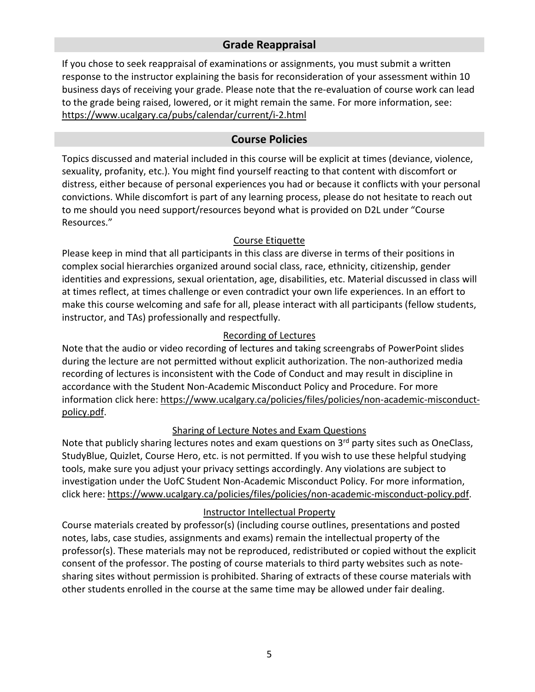## **Grade Reappraisal**

<span id="page-4-0"></span>If you chose to seek reappraisal of examinations or assignments, you must submit a written response to the instructor explaining the basis for reconsideration of your assessment within 10 business days of receiving your grade. Please note that the re-evaluation of course work can lead to the grade being raised, lowered, or it might remain the same. For more information, see: <https://www.ucalgary.ca/pubs/calendar/current/i-2.html>

## **Course Policies**

<span id="page-4-1"></span>Topics discussed and material included in this course will be explicit at times (deviance, violence, sexuality, profanity, etc.). You might find yourself reacting to that content with discomfort or distress, either because of personal experiences you had or because it conflicts with your personal convictions. While discomfort is part of any learning process, please do not hesitate to reach out to me should you need support/resources beyond what is provided on D2L under "Course Resources."

## Course Etiquette

Please keep in mind that all participants in this class are diverse in terms of their positions in complex social hierarchies organized around social class, race, ethnicity, citizenship, gender identities and expressions, sexual orientation, age, disabilities, etc. Material discussed in class will at times reflect, at times challenge or even contradict your own life experiences. In an effort to make this course welcoming and safe for all, please interact with all participants (fellow students, instructor, and TAs) professionally and respectfully.

## Recording of Lectures

Note that the audio or video recording of lectures and taking screengrabs of PowerPoint slides during the lecture are not permitted without explicit authorization. The non-authorized media recording of lectures is inconsistent with the Code of Conduct and may result in discipline in accordance with the Student Non-Academic Misconduct Policy and Procedure. For more information click here: [https://www.ucalgary.ca/policies/files/policies/non-academic-misconduct](https://www.ucalgary.ca/policies/files/policies/non-academic-misconduct-policy.pdf)[policy.pdf.](https://www.ucalgary.ca/policies/files/policies/non-academic-misconduct-policy.pdf)

## Sharing of Lecture Notes and Exam Questions

Note that publicly sharing lectures notes and exam questions on  $3<sup>rd</sup>$  party sites such as OneClass, StudyBlue, Quizlet, Course Hero, etc. is not permitted. If you wish to use these helpful studying tools, make sure you adjust your privacy settings accordingly. Any violations are subject to investigation under the UofC Student Non-Academic Misconduct Policy. For more information, click here: [https://www.ucalgary.ca/policies/files/policies/non-academic-misconduct-policy.pdf.](https://www.ucalgary.ca/policies/files/policies/non-academic-misconduct-policy.pdf)

#### Instructor Intellectual Property

Course materials created by professor(s) (including course outlines, presentations and posted notes, labs, case studies, assignments and exams) remain the intellectual property of the professor(s). These materials may not be reproduced, redistributed or copied without the explicit consent of the professor. The posting of course materials to third party websites such as notesharing sites without permission is prohibited. Sharing of extracts of these course materials with other students enrolled in the course at the same time may be allowed under fair dealing.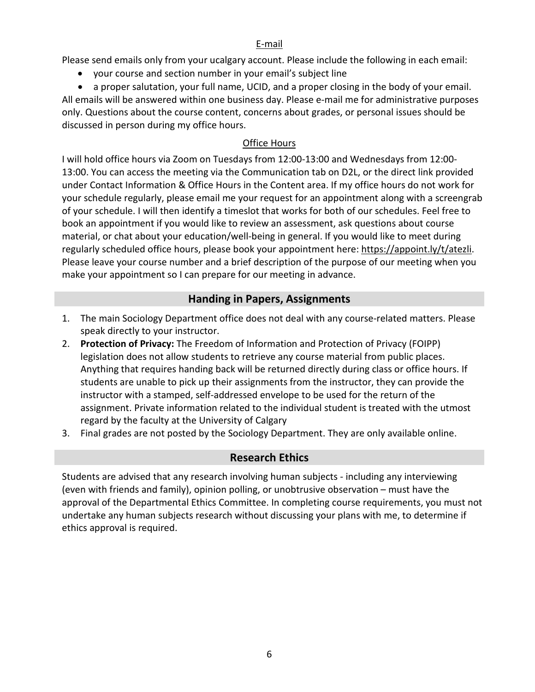#### E-mail

Please send emails only from your ucalgary account. Please include the following in each email:

• your course and section number in your email's subject line

• a proper salutation, your full name, UCID, and a proper closing in the body of your email. All emails will be answered within one business day. Please e-mail me for administrative purposes only. Questions about the course content, concerns about grades, or personal issues should be discussed in person during my office hours.

## **Office Hours**

I will hold office hours via Zoom on Tuesdays from 12:00-13:00 and Wednesdays from 12:00- 13:00. You can access the meeting via the Communication tab on D2L, or the direct link provided under Contact Information & Office Hours in the Content area. If my office hours do not work for your schedule regularly, please email me your request for an appointment along with a screengrab of your schedule. I will then identify a timeslot that works for both of our schedules. Feel free to book an appointment if you would like to review an assessment, ask questions about course material, or chat about your education/well-being in general. If you would like to meet during regularly scheduled office hours, please book your appointment here: [https://appoint.ly/t/atezli.](https://appoint.ly/t/atezli) Please leave your course number and a brief description of the purpose of our meeting when you make your appointment so I can prepare for our meeting in advance.

# **Handing in Papers, Assignments**

- <span id="page-5-0"></span>1. The main Sociology Department office does not deal with any course-related matters. Please speak directly to your instructor.
- 2. **Protection of Privacy:** The Freedom of Information and Protection of Privacy (FOIPP) legislation does not allow students to retrieve any course material from public places. Anything that requires handing back will be returned directly during class or office hours. If students are unable to pick up their assignments from the instructor, they can provide the instructor with a stamped, self-addressed envelope to be used for the return of the assignment. Private information related to the individual student is treated with the utmost regard by the faculty at the University of Calgary
- 3. Final grades are not posted by the Sociology Department. They are only available online.

# **Research Ethics**

<span id="page-5-1"></span>Students are advised that any research involving human subjects - including any interviewing (even with friends and family), opinion polling, or unobtrusive observation – must have the approval of the Departmental Ethics Committee. In completing course requirements, you must not undertake any human subjects research without discussing your plans with me, to determine if ethics approval is required.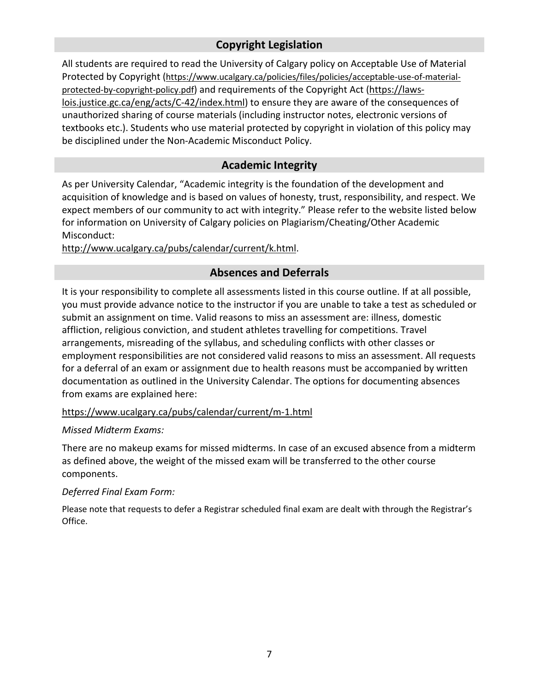# **Copyright Legislation**

<span id="page-6-0"></span>All students are required to read the University of Calgary policy on Acceptable Use of Material Protected by Copyright [\(https://www.ucalgary.ca/policies/files/policies/acceptable-use-of-material](https://www.ucalgary.ca/policies/files/policies/acceptable-use-of-material-protected-by-copyright-policy.pdf)[protected-by-copyright-policy.pdf\)](https://www.ucalgary.ca/policies/files/policies/acceptable-use-of-material-protected-by-copyright-policy.pdf) and requirements of the Copyright Act [\(https://laws](https://laws-lois.justice.gc.ca/eng/acts/C-42/index.html)[lois.justice.gc.ca/eng/acts/C-42/index.html\)](https://laws-lois.justice.gc.ca/eng/acts/C-42/index.html) to ensure they are aware of the consequences of unauthorized sharing of course materials (including instructor notes, electronic versions of textbooks etc.). Students who use material protected by copyright in violation of this policy may be disciplined under the Non-Academic Misconduct Policy.

## **Academic Integrity**

<span id="page-6-1"></span>As per University Calendar, "Academic integrity is the foundation of the development and acquisition of knowledge and is based on values of honesty, trust, responsibility, and respect. We expect members of our community to act with integrity." Please refer to the website listed below for information on University of Calgary policies on Plagiarism/Cheating/Other Academic Misconduct:

<span id="page-6-2"></span>[http://www.ucalgary.ca/pubs/calendar/current/k.html.](http://www.ucalgary.ca/pubs/calendar/current/k.html)

## **Absences and Deferrals**

It is your responsibility to complete all assessments listed in this course outline. If at all possible, you must provide advance notice to the instructor if you are unable to take a test as scheduled or submit an assignment on time. Valid reasons to miss an assessment are: illness, domestic affliction, religious conviction, and student athletes travelling for competitions. Travel arrangements, misreading of the syllabus, and scheduling conflicts with other classes or employment responsibilities are not considered valid reasons to miss an assessment. All requests for a deferral of an exam or assignment due to health reasons must be accompanied by written documentation as outlined in the University Calendar. The options for documenting absences from exams are explained here:

#### <https://www.ucalgary.ca/pubs/calendar/current/m-1.html>

#### *Missed Midterm Exams:*

There are no makeup exams for missed midterms. In case of an excused absence from a midterm as defined above, the weight of the missed exam will be transferred to the other course components.

#### *Deferred Final Exam Form:*

Please note that requests to defer a Registrar scheduled final exam are dealt with through the Registrar's Office.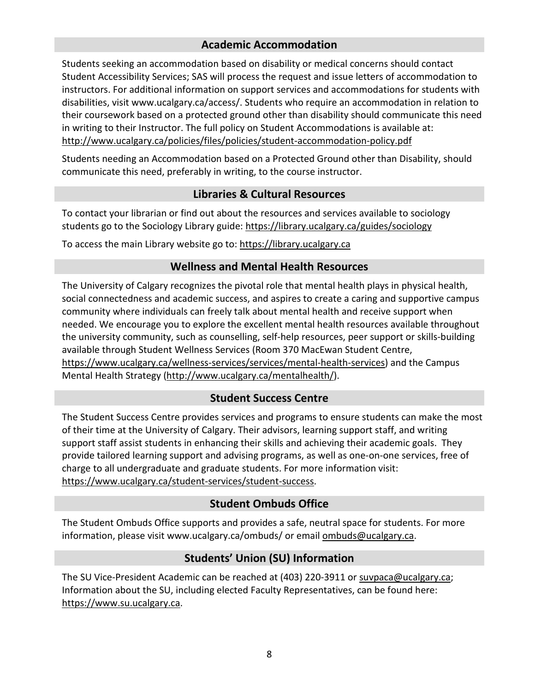## **Academic Accommodation**

<span id="page-7-0"></span>Students seeking an accommodation based on disability or medical concerns should contact Student Accessibility Services; SAS will process the request and issue letters of accommodation to instructors. For additional information on support services and accommodations for students with disabilities, visit www.ucalgary.ca/access/. Students who require an accommodation in relation to their coursework based on a protected ground other than disability should communicate this need in writing to their Instructor. The full policy on Student Accommodations is available at: <http://www.ucalgary.ca/policies/files/policies/student-accommodation-policy.pdf>

Students needing an Accommodation based on a Protected Ground other than Disability, should communicate this need, preferably in writing, to the course instructor.

## **Libraries & Cultural Resources**

<span id="page-7-1"></span>To contact your librarian or find out about the resources and services available to sociology students go to the Sociology Library guide:<https://library.ucalgary.ca/guides/sociology>

<span id="page-7-2"></span>To access the main Library website go to: [https://library.ucalgary.ca](https://library.ucalgary.ca/)

## **Wellness and Mental Health Resources**

The University of Calgary recognizes the pivotal role that mental health plays in physical health, social connectedness and academic success, and aspires to create a caring and supportive campus community where individuals can freely talk about mental health and receive support when needed. We encourage you to explore the excellent mental health resources available throughout the university community, such as counselling, self-help resources, peer support or skills-building available through Student Wellness Services (Room 370 MacEwan Student Centre, [https://www.ucalgary.ca/wellness-services/services/mental-health-services\)](https://www.ucalgary.ca/wellness-services/services/mental-health-services) and the Campus Mental Health Strategy [\(http://www.ucalgary.ca/mentalhealth/\)](http://www.ucalgary.ca/mentalhealth/).

## **Student Success Centre**

<span id="page-7-3"></span>The Student Success Centre provides services and programs to ensure students can make the most of their time at the University of Calgary. Their advisors, learning support staff, and writing support staff assist students in enhancing their skills and achieving their academic goals. They provide tailored learning support and advising programs, as well as one-on-one services, free of charge to all undergraduate and graduate students. For more information visit: [https://www.ucalgary.ca/student-services/student-success.](https://www.ucalgary.ca/student-services/student-success)

## **Student Ombuds Office**

<span id="page-7-4"></span>The Student Ombuds Office supports and provides a safe, neutral space for students. For more information, please visit www.ucalgary.ca/ombuds/ or email [ombuds@ucalgary.ca.](mailto:ombuds@ucalgary.ca)

# **Students' Union (SU) Information**

<span id="page-7-5"></span>The SU Vice-President Academic can be reached at (403) 220-3911 or [suvpaca@ucalgary.ca;](mailto:suvpaca@ucalgary.ca) Information about the SU, including elected Faculty Representatives, can be found here: [https://www.su.ucalgary.ca.](https://www.su.ucalgary.ca/)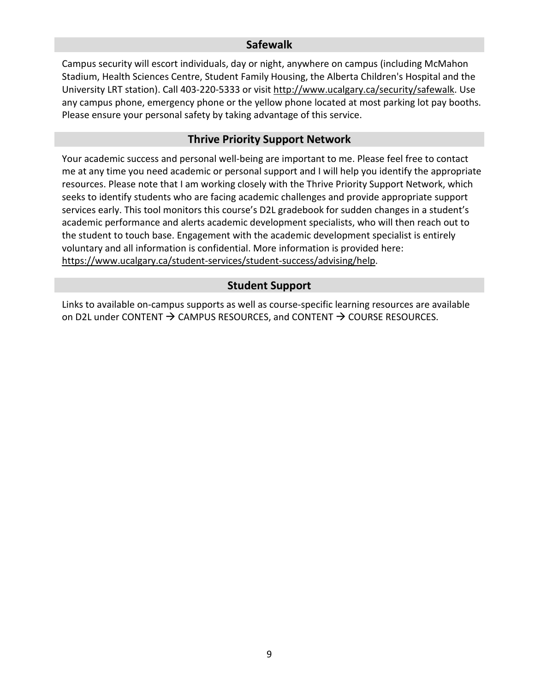#### **Safewalk**

<span id="page-8-0"></span>Campus security will escort individuals, day or night, anywhere on campus (including McMahon Stadium, Health Sciences Centre, Student Family Housing, the Alberta Children's Hospital and the University LRT station). Call 403-220-5333 or visit [http://www.ucalgary.ca/security/safewalk.](http://www.ucalgary.ca/security/safewalk) Use any campus phone, emergency phone or the yellow phone located at most parking lot pay booths. Please ensure your personal safety by taking advantage of this service.

#### **Thrive Priority Support Network**

<span id="page-8-1"></span>Your academic success and personal well-being are important to me. Please feel free to contact me at any time you need academic or personal support and I will help you identify the appropriate resources. Please note that I am working closely with the Thrive Priority Support Network, which seeks to identify students who are facing academic challenges and provide appropriate support services early. This tool monitors this course's D2L gradebook for sudden changes in a student's academic performance and alerts academic development specialists, who will then reach out to the student to touch base. Engagement with the academic development specialist is entirely voluntary and all information is confidential. More information is provided here: [https://www.ucalgary.ca/student-services/student-success/advising/help.](https://www.ucalgary.ca/student-services/student-success/advising/help)

## **Student Support**

Links to available on-campus supports as well as course-specific learning resources are available on D2L under CONTENT  $\rightarrow$  CAMPUS RESOURCES, and CONTENT  $\rightarrow$  COURSE RESOURCES.